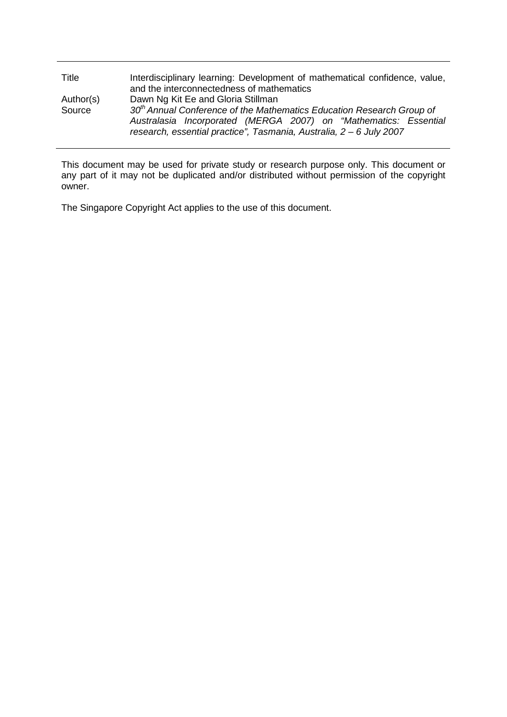| Title     | Interdisciplinary learning: Development of mathematical confidence, value,<br>and the interconnectedness of mathematics                     |
|-----------|---------------------------------------------------------------------------------------------------------------------------------------------|
| Author(s) | Dawn Ng Kit Ee and Gloria Stillman                                                                                                          |
| Source    | $30th$ Annual Conference of the Mathematics Education Research Group of<br>Australasia Incorporated (MERGA 2007) on "Mathematics: Essential |
|           | research, essential practice", Tasmania, Australia, 2 - 6 July 2007                                                                         |

This document may be used for private study or research purpose only. This document or any part of it may not be duplicated and/or distributed without permission of the copyright owner.

The Singapore Copyright Act applies to the use of this document.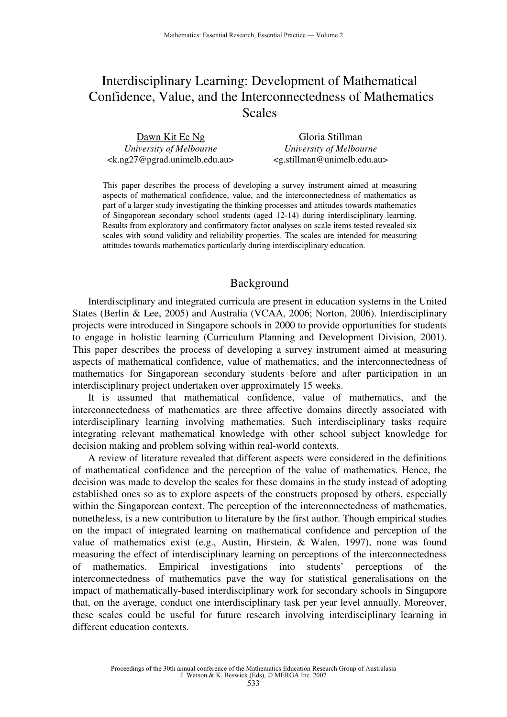# Interdisciplinary Learning: Development of Mathematical Confidence, Value, and the Interconnectedness of Mathematics Scales

| Dawn Kit Ee Ng                                              | Gloria Stillman                   |
|-------------------------------------------------------------|-----------------------------------|
| University of Melbourne                                     | University of Melbourne           |
| <k.ng27@pgrad.unimelb.edu.au></k.ng27@pgrad.unimelb.edu.au> | $\leq$ g.stillman@unimelb.edu.au> |

This paper describes the process of developing a survey instrument aimed at measuring aspects of mathematical confidence, value, and the interconnectedness of mathematics as part of a larger study investigating the thinking processes and attitudes towards mathematics of Singaporean secondary school students (aged 12-14) during interdisciplinary learning. Results from exploratory and confirmatory factor analyses on scale items tested revealed six scales with sound validity and reliability properties. The scales are intended for measuring attitudes towards mathematics particularly during interdisciplinary education.

# Background

Interdisciplinary and integrated curricula are present in education systems in the United States (Berlin & Lee, 2005) and Australia (VCAA, 2006; Norton, 2006). Interdisciplinary projects were introduced in Singapore schools in 2000 to provide opportunities for students to engage in holistic learning (Curriculum Planning and Development Division, 2001). This paper describes the process of developing a survey instrument aimed at measuring aspects of mathematical confidence, value of mathematics, and the interconnectedness of mathematics for Singaporean secondary students before and after participation in an interdisciplinary project undertaken over approximately 15 weeks.

It is assumed that mathematical confidence, value of mathematics, and the interconnectedness of mathematics are three affective domains directly associated with interdisciplinary learning involving mathematics. Such interdisciplinary tasks require integrating relevant mathematical knowledge with other school subject knowledge for decision making and problem solving within real-world contexts.

A review of literature revealed that different aspects were considered in the definitions of mathematical confidence and the perception of the value of mathematics. Hence, the decision was made to develop the scales for these domains in the study instead of adopting established ones so as to explore aspects of the constructs proposed by others, especially within the Singaporean context. The perception of the interconnectedness of mathematics, nonetheless, is a new contribution to literature by the first author. Though empirical studies on the impact of integrated learning on mathematical confidence and perception of the value of mathematics exist (e.g., Austin, Hirstein, & Walen, 1997), none was found measuring the effect of interdisciplinary learning on perceptions of the interconnectedness of mathematics. Empirical investigations into students' perceptions of the interconnectedness of mathematics pave the way for statistical generalisations on the impact of mathematically-based interdisciplinary work for secondary schools in Singapore that, on the average, conduct one interdisciplinary task per year level annually. Moreover, these scales could be useful for future research involving interdisciplinary learning in different education contexts.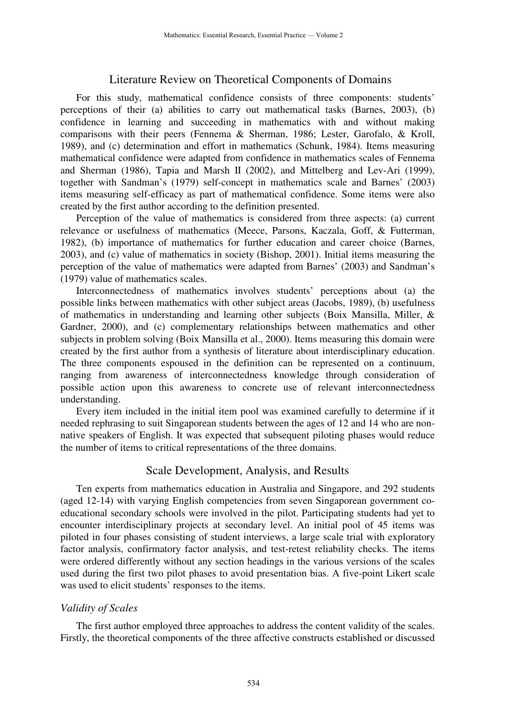# Literature Review on Theoretical Components of Domains

For this study, mathematical confidence consists of three components: students' perceptions of their (a) abilities to carry out mathematical tasks (Barnes, 2003), (b) confidence in learning and succeeding in mathematics with and without making comparisons with their peers (Fennema & Sherman, 1986; Lester, Garofalo, & Kroll, 1989), and (c) determination and effort in mathematics (Schunk, 1984). Items measuring mathematical confidence were adapted from confidence in mathematics scales of Fennema and Sherman (1986), Tapia and Marsh II (2002), and Mittelberg and Lev-Ari (1999), together with Sandman's (1979) self-concept in mathematics scale and Barnes' (2003) items measuring self-efficacy as part of mathematical confidence. Some items were also created by the first author according to the definition presented.

Perception of the value of mathematics is considered from three aspects: (a) current relevance or usefulness of mathematics (Meece, Parsons, Kaczala, Goff, & Futterman, 1982), (b) importance of mathematics for further education and career choice (Barnes, 2003), and (c) value of mathematics in society (Bishop, 2001). Initial items measuring the perception of the value of mathematics were adapted from Barnes' (2003) and Sandman's (1979) value of mathematics scales.

Interconnectedness of mathematics involves students' perceptions about (a) the possible links between mathematics with other subject areas (Jacobs, 1989), (b) usefulness of mathematics in understanding and learning other subjects (Boix Mansilla, Miller, & Gardner, 2000), and (c) complementary relationships between mathematics and other subjects in problem solving (Boix Mansilla et al., 2000). Items measuring this domain were created by the first author from a synthesis of literature about interdisciplinary education. The three components espoused in the definition can be represented on a continuum, ranging from awareness of interconnectedness knowledge through consideration of possible action upon this awareness to concrete use of relevant interconnectedness understanding.

Every item included in the initial item pool was examined carefully to determine if it needed rephrasing to suit Singaporean students between the ages of 12 and 14 who are nonnative speakers of English. It was expected that subsequent piloting phases would reduce the number of items to critical representations of the three domains.

## Scale Development, Analysis, and Results

Ten experts from mathematics education in Australia and Singapore, and 292 students (aged 12-14) with varying English competencies from seven Singaporean government coeducational secondary schools were involved in the pilot. Participating students had yet to encounter interdisciplinary projects at secondary level. An initial pool of 45 items was piloted in four phases consisting of student interviews, a large scale trial with exploratory factor analysis, confirmatory factor analysis, and test-retest reliability checks. The items were ordered differently without any section headings in the various versions of the scales used during the first two pilot phases to avoid presentation bias. A five-point Likert scale was used to elicit students' responses to the items.

#### *Validity of Scales*

The first author employed three approaches to address the content validity of the scales. Firstly, the theoretical components of the three affective constructs established or discussed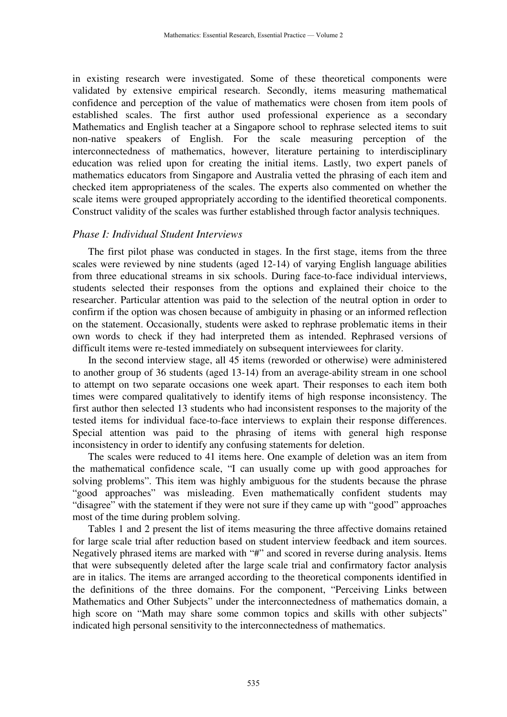in existing research were investigated. Some of these theoretical components were validated by extensive empirical research. Secondly, items measuring mathematical confidence and perception of the value of mathematics were chosen from item pools of established scales. The first author used professional experience as a secondary Mathematics and English teacher at a Singapore school to rephrase selected items to suit non-native speakers of English. For the scale measuring perception of the interconnectedness of mathematics, however, literature pertaining to interdisciplinary education was relied upon for creating the initial items. Lastly, two expert panels of mathematics educators from Singapore and Australia vetted the phrasing of each item and checked item appropriateness of the scales. The experts also commented on whether the scale items were grouped appropriately according to the identified theoretical components. Construct validity of the scales was further established through factor analysis techniques.

### *Phase I: Individual Student Interviews*

The first pilot phase was conducted in stages. In the first stage, items from the three scales were reviewed by nine students (aged 12-14) of varying English language abilities from three educational streams in six schools. During face-to-face individual interviews, students selected their responses from the options and explained their choice to the researcher. Particular attention was paid to the selection of the neutral option in order to confirm if the option was chosen because of ambiguity in phasing or an informed reflection on the statement. Occasionally, students were asked to rephrase problematic items in their own words to check if they had interpreted them as intended. Rephrased versions of difficult items were re-tested immediately on subsequent interviewees for clarity.

In the second interview stage, all 45 items (reworded or otherwise) were administered to another group of 36 students (aged 13-14) from an average-ability stream in one school to attempt on two separate occasions one week apart. Their responses to each item both times were compared qualitatively to identify items of high response inconsistency. The first author then selected 13 students who had inconsistent responses to the majority of the tested items for individual face-to-face interviews to explain their response differences. Special attention was paid to the phrasing of items with general high response inconsistency in order to identify any confusing statements for deletion.

The scales were reduced to 41 items here. One example of deletion was an item from the mathematical confidence scale, "I can usually come up with good approaches for solving problems". This item was highly ambiguous for the students because the phrase "good approaches" was misleading. Even mathematically confident students may "disagree" with the statement if they were not sure if they came up with "good" approaches most of the time during problem solving.

Tables 1 and 2 present the list of items measuring the three affective domains retained for large scale trial after reduction based on student interview feedback and item sources. Negatively phrased items are marked with "#" and scored in reverse during analysis. Items that were subsequently deleted after the large scale trial and confirmatory factor analysis are in italics. The items are arranged according to the theoretical components identified in the definitions of the three domains. For the component, "Perceiving Links between Mathematics and Other Subjects" under the interconnectedness of mathematics domain, a high score on "Math may share some common topics and skills with other subjects" indicated high personal sensitivity to the interconnectedness of mathematics.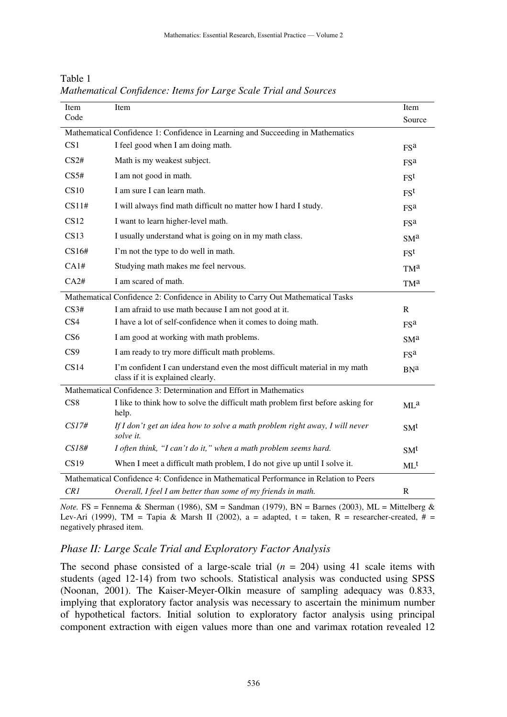| Item                                                                                   | Item                                                                                                            | Item            |  |
|----------------------------------------------------------------------------------------|-----------------------------------------------------------------------------------------------------------------|-----------------|--|
| Code                                                                                   |                                                                                                                 | Source          |  |
|                                                                                        | Mathematical Confidence 1: Confidence in Learning and Succeeding in Mathematics                                 |                 |  |
| CS <sub>1</sub>                                                                        | I feel good when I am doing math.                                                                               | FS <sup>a</sup> |  |
| CS2#                                                                                   | Math is my weakest subject.                                                                                     | FS <sup>a</sup> |  |
| CS5#                                                                                   | I am not good in math.                                                                                          | $F S^t$         |  |
| CS10                                                                                   | I am sure I can learn math.                                                                                     | FS <sup>t</sup> |  |
| CS11#                                                                                  | I will always find math difficult no matter how I hard I study.                                                 | <b>FSa</b>      |  |
| <b>CS12</b>                                                                            | I want to learn higher-level math.                                                                              | FS <sup>a</sup> |  |
| CS13                                                                                   | I usually understand what is going on in my math class.                                                         | SM <sup>a</sup> |  |
| CS16#                                                                                  | I'm not the type to do well in math.                                                                            | $F S^t$         |  |
| CA1#                                                                                   | Studying math makes me feel nervous.                                                                            | TM <sup>a</sup> |  |
| CA2#                                                                                   | I am scared of math.                                                                                            | TM <sup>a</sup> |  |
| Mathematical Confidence 2: Confidence in Ability to Carry Out Mathematical Tasks       |                                                                                                                 |                 |  |
| CS3#                                                                                   | I am afraid to use math because I am not good at it.                                                            | $\mathbf R$     |  |
| CS4                                                                                    | I have a lot of self-confidence when it comes to doing math.                                                    | <b>FSa</b>      |  |
| CS <sub>6</sub>                                                                        | I am good at working with math problems.                                                                        | SM <sup>a</sup> |  |
| CS <sub>9</sub>                                                                        | I am ready to try more difficult math problems.                                                                 | FS <sup>a</sup> |  |
| CS14                                                                                   | I'm confident I can understand even the most difficult material in my math<br>class if it is explained clearly. | <b>BNa</b>      |  |
| Mathematical Confidence 3: Determination and Effort in Mathematics                     |                                                                                                                 |                 |  |
| CS8                                                                                    | I like to think how to solve the difficult math problem first before asking for<br>help.                        | $ML^a$          |  |
| CS17#                                                                                  | If I don't get an idea how to solve a math problem right away, I will never<br>solve it.                        | SM <sup>t</sup> |  |
| CS18#                                                                                  | I often think, "I can't do it," when a math problem seems hard.                                                 | SM <sup>t</sup> |  |
| CS19                                                                                   | When I meet a difficult math problem, I do not give up until I solve it.                                        | $ML^t$          |  |
| Mathematical Confidence 4: Confidence in Mathematical Performance in Relation to Peers |                                                                                                                 |                 |  |
| CR1                                                                                    | Overall, I feel I am better than some of my friends in math.                                                    | $\mathbf R$     |  |

Table 1 *Mathematical Confidence: Items for Large Scale Trial and Sources* 

*Note.* FS = Fennema & Sherman (1986), SM = Sandman (1979), BN = Barnes (2003), ML = Mittelberg & Lev-Ari (1999), TM = Tapia & Marsh II (2002), a = adapted, t = taken, R = researcher-created,  $# =$ negatively phrased item.

# *Phase II: Large Scale Trial and Exploratory Factor Analysis*

The second phase consisted of a large-scale trial  $(n = 204)$  using 41 scale items with students (aged 12-14) from two schools. Statistical analysis was conducted using SPSS (Noonan, 2001). The Kaiser-Meyer-Olkin measure of sampling adequacy was 0.833, implying that exploratory factor analysis was necessary to ascertain the minimum number of hypothetical factors. Initial solution to exploratory factor analysis using principal component extraction with eigen values more than one and varimax rotation revealed 12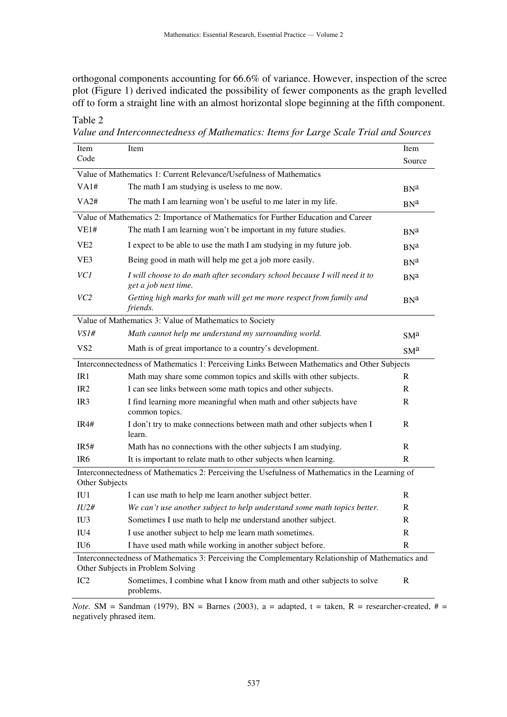orthogonal components accounting for 66.6% of variance. However, inspection of the scree plot (Figure 1) derived indicated the possibility of fewer components as the graph levelled off to form a straight line with an almost horizontal slope beginning at the fifth component.

| Item                                                                                                                                   | Item                                                                                              | Item             |  |
|----------------------------------------------------------------------------------------------------------------------------------------|---------------------------------------------------------------------------------------------------|------------------|--|
| Code                                                                                                                                   |                                                                                                   | Source           |  |
|                                                                                                                                        | Value of Mathematics 1: Current Relevance/Usefulness of Mathematics                               |                  |  |
| VA1#                                                                                                                                   | The math I am studying is useless to me now.                                                      | BN <sup>a</sup>  |  |
| VA2#                                                                                                                                   | The math I am learning won't be useful to me later in my life.                                    | B <sub>N</sub> a |  |
|                                                                                                                                        | Value of Mathematics 2: Importance of Mathematics for Further Education and Career                |                  |  |
| VE1#                                                                                                                                   | The math I am learning won't be important in my future studies.                                   | B <sub>N</sub> a |  |
| VE <sub>2</sub>                                                                                                                        | I expect to be able to use the math I am studying in my future job.                               | B <sub>N</sub> a |  |
| VE3                                                                                                                                    | Being good in math will help me get a job more easily.                                            | B <sub>N</sub> a |  |
| VC1                                                                                                                                    | I will choose to do math after secondary school because I will need it to<br>get a job next time. | B <sub>N</sub> a |  |
| VC <sub>2</sub>                                                                                                                        | Getting high marks for math will get me more respect from family and<br>friends.                  | B <sub>N</sub> a |  |
|                                                                                                                                        | Value of Mathematics 3: Value of Mathematics to Society                                           |                  |  |
| VS1#                                                                                                                                   | Math cannot help me understand my surrounding world.                                              | SM <sup>a</sup>  |  |
| VS <sub>2</sub>                                                                                                                        | Math is of great importance to a country's development.                                           | SMa              |  |
|                                                                                                                                        | Interconnectedness of Mathematics 1: Perceiving Links Between Mathematics and Other Subjects      |                  |  |
| IR1                                                                                                                                    | Math may share some common topics and skills with other subjects.                                 | R                |  |
| IR <sub>2</sub>                                                                                                                        | I can see links between some math topics and other subjects.                                      | $\mathbf{R}$     |  |
| IR <sub>3</sub>                                                                                                                        | I find learning more meaningful when math and other subjects have<br>common topics.               | $\mathbf{R}$     |  |
| IR4#                                                                                                                                   | I don't try to make connections between math and other subjects when I<br>learn.                  | $\mathbf R$      |  |
| IR5#                                                                                                                                   | Math has no connections with the other subjects I am studying.                                    | $\mathbf R$      |  |
| IR <sub>6</sub>                                                                                                                        | It is important to relate math to other subjects when learning.                                   | $\mathbf{R}$     |  |
| Interconnectedness of Mathematics 2: Perceiving the Usefulness of Mathematics in the Learning of<br>Other Subjects                     |                                                                                                   |                  |  |
| IU <sub>1</sub>                                                                                                                        | I can use math to help me learn another subject better.                                           | $\mathbf R$      |  |
| IU2#                                                                                                                                   | We can't use another subject to help understand some math topics better.                          | R                |  |
| IU3                                                                                                                                    | Sometimes I use math to help me understand another subject.                                       | $\mathbf R$      |  |
| IU <sub>4</sub>                                                                                                                        | I use another subject to help me learn math sometimes.                                            | R                |  |
| IU <sub>6</sub>                                                                                                                        | I have used math while working in another subject before.                                         | $\mathbf R$      |  |
| Interconnectedness of Mathematics 3: Perceiving the Complementary Relationship of Mathematics and<br>Other Subjects in Problem Solving |                                                                                                   |                  |  |
| IC <sub>2</sub>                                                                                                                        | Sometimes, I combine what I know from math and other subjects to solve<br>problems.               | $\mathbf R$      |  |

*Value and Interconnectedness of Mathematics: Items for Large Scale Trial and Sources* 

Table 2

*Note.* SM = Sandman (1979), BN = Barnes (2003), a = adapted, t = taken, R = researcher-created,  $# =$ negatively phrased item.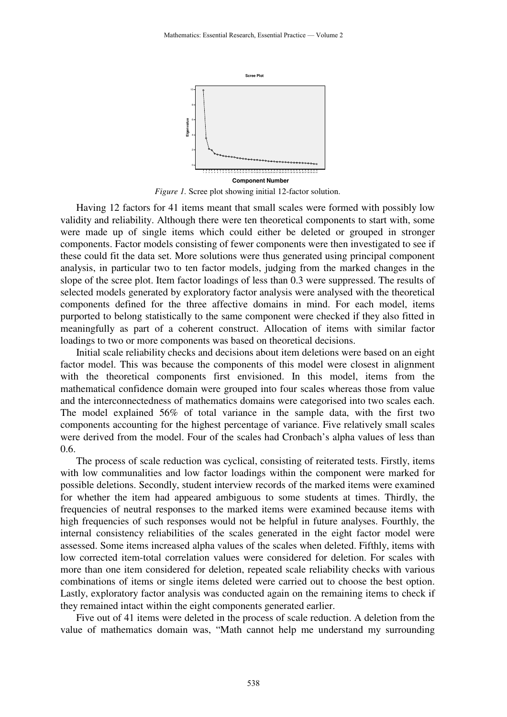

*Figure 1.* Scree plot showing initial 12-factor solution.

Having 12 factors for 41 items meant that small scales were formed with possibly low validity and reliability. Although there were ten theoretical components to start with, some were made up of single items which could either be deleted or grouped in stronger components. Factor models consisting of fewer components were then investigated to see if these could fit the data set. More solutions were thus generated using principal component analysis, in particular two to ten factor models, judging from the marked changes in the slope of the scree plot. Item factor loadings of less than 0.3 were suppressed. The results of selected models generated by exploratory factor analysis were analysed with the theoretical components defined for the three affective domains in mind. For each model, items purported to belong statistically to the same component were checked if they also fitted in meaningfully as part of a coherent construct. Allocation of items with similar factor loadings to two or more components was based on theoretical decisions.

Initial scale reliability checks and decisions about item deletions were based on an eight factor model. This was because the components of this model were closest in alignment with the theoretical components first envisioned. In this model, items from the mathematical confidence domain were grouped into four scales whereas those from value and the interconnectedness of mathematics domains were categorised into two scales each. The model explained 56% of total variance in the sample data, with the first two components accounting for the highest percentage of variance. Five relatively small scales were derived from the model. Four of the scales had Cronbach's alpha values of less than 0.6.

The process of scale reduction was cyclical, consisting of reiterated tests. Firstly, items with low communalities and low factor loadings within the component were marked for possible deletions. Secondly, student interview records of the marked items were examined for whether the item had appeared ambiguous to some students at times. Thirdly, the frequencies of neutral responses to the marked items were examined because items with high frequencies of such responses would not be helpful in future analyses. Fourthly, the internal consistency reliabilities of the scales generated in the eight factor model were assessed. Some items increased alpha values of the scales when deleted. Fifthly, items with low corrected item-total correlation values were considered for deletion. For scales with more than one item considered for deletion, repeated scale reliability checks with various combinations of items or single items deleted were carried out to choose the best option. Lastly, exploratory factor analysis was conducted again on the remaining items to check if they remained intact within the eight components generated earlier.

Five out of 41 items were deleted in the process of scale reduction. A deletion from the value of mathematics domain was, "Math cannot help me understand my surrounding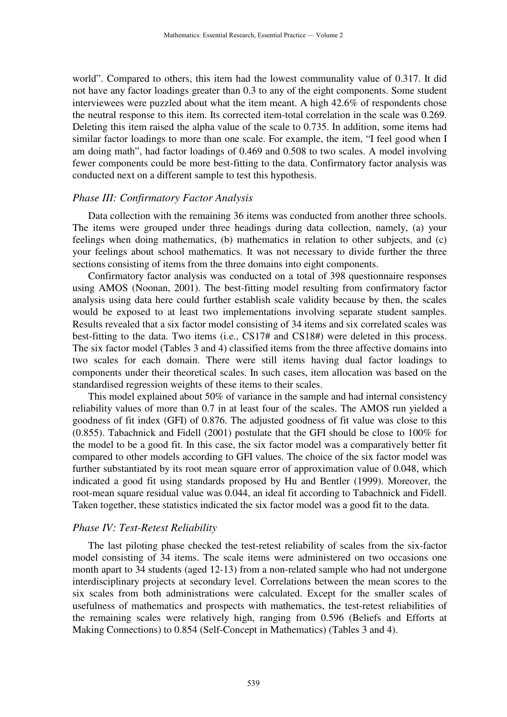world". Compared to others, this item had the lowest communality value of 0.317. It did not have any factor loadings greater than 0.3 to any of the eight components. Some student interviewees were puzzled about what the item meant. A high 42.6% of respondents chose the neutral response to this item. Its corrected item-total correlation in the scale was 0.269. Deleting this item raised the alpha value of the scale to 0.735. In addition, some items had similar factor loadings to more than one scale. For example, the item, "I feel good when I am doing math", had factor loadings of 0.469 and 0.508 to two scales. A model involving fewer components could be more best-fitting to the data. Confirmatory factor analysis was conducted next on a different sample to test this hypothesis.

#### *Phase III: Confirmatory Factor Analysis*

Data collection with the remaining 36 items was conducted from another three schools. The items were grouped under three headings during data collection, namely, (a) your feelings when doing mathematics, (b) mathematics in relation to other subjects, and (c) your feelings about school mathematics. It was not necessary to divide further the three sections consisting of items from the three domains into eight components.

Confirmatory factor analysis was conducted on a total of 398 questionnaire responses using AMOS (Noonan, 2001). The best-fitting model resulting from confirmatory factor analysis using data here could further establish scale validity because by then, the scales would be exposed to at least two implementations involving separate student samples. Results revealed that a six factor model consisting of 34 items and six correlated scales was best-fitting to the data. Two items (i.e., CS17# and CS18#) were deleted in this process. The six factor model (Tables 3 and 4) classified items from the three affective domains into two scales for each domain. There were still items having dual factor loadings to components under their theoretical scales. In such cases, item allocation was based on the standardised regression weights of these items to their scales.

This model explained about 50% of variance in the sample and had internal consistency reliability values of more than 0.7 in at least four of the scales. The AMOS run yielded a goodness of fit index (GFI) of 0.876. The adjusted goodness of fit value was close to this (0.855). Tabachnick and Fidell (2001) postulate that the GFI should be close to 100% for the model to be a good fit. In this case, the six factor model was a comparatively better fit compared to other models according to GFI values. The choice of the six factor model was further substantiated by its root mean square error of approximation value of 0.048, which indicated a good fit using standards proposed by Hu and Bentler (1999). Moreover, the root-mean square residual value was 0.044, an ideal fit according to Tabachnick and Fidell. Taken together, these statistics indicated the six factor model was a good fit to the data.

#### *Phase IV: Test-Retest Reliability*

The last piloting phase checked the test-retest reliability of scales from the six-factor model consisting of 34 items. The scale items were administered on two occasions one month apart to 34 students (aged 12-13) from a non-related sample who had not undergone interdisciplinary projects at secondary level. Correlations between the mean scores to the six scales from both administrations were calculated. Except for the smaller scales of usefulness of mathematics and prospects with mathematics, the test-retest reliabilities of the remaining scales were relatively high, ranging from 0.596 (Beliefs and Efforts at Making Connections) to 0.854 (Self-Concept in Mathematics) (Tables 3 and 4).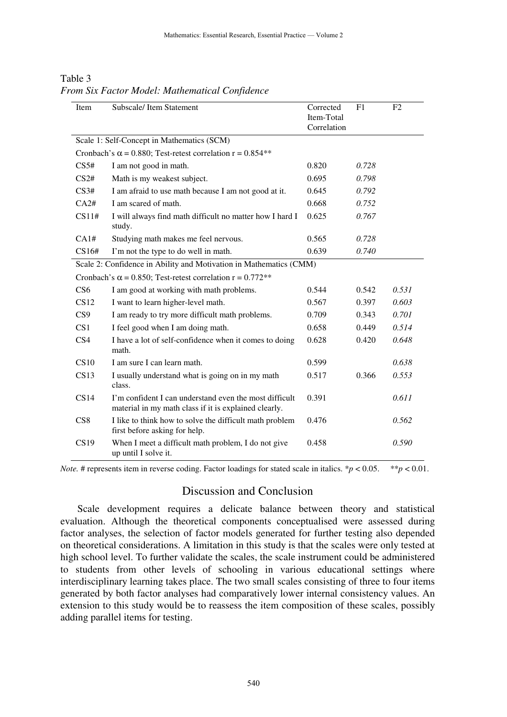| Item             | Subscale/Item Statement                                                                                         | Corrected<br>Item-Total<br>Correlation | F1    | F <sub>2</sub> |
|------------------|-----------------------------------------------------------------------------------------------------------------|----------------------------------------|-------|----------------|
|                  | Scale 1: Self-Concept in Mathematics (SCM)                                                                      |                                        |       |                |
|                  | Cronbach's $\alpha$ = 0.880; Test-retest correlation r = 0.854**                                                |                                        |       |                |
| CS <sub>5#</sub> | I am not good in math.                                                                                          | 0.820                                  | 0.728 |                |
| CS2#             | Math is my weakest subject.                                                                                     | 0.695                                  | 0.798 |                |
| CS3#             | I am afraid to use math because I am not good at it.                                                            | 0.645                                  | 0.792 |                |
| CA2#             | I am scared of math.                                                                                            | 0.668                                  | 0.752 |                |
| CS11#            | I will always find math difficult no matter how I hard I<br>study.                                              | 0.625                                  | 0.767 |                |
| CA1#             | Studying math makes me feel nervous.                                                                            | 0.565                                  | 0.728 |                |
| CS16#            | I'm not the type to do well in math.                                                                            | 0.639                                  | 0.740 |                |
|                  | Scale 2: Confidence in Ability and Motivation in Mathematics (CMM)                                              |                                        |       |                |
|                  | Cronbach's $\alpha$ = 0.850; Test-retest correlation r = 0.772**                                                |                                        |       |                |
| CS <sub>6</sub>  | I am good at working with math problems.                                                                        | 0.544                                  | 0.542 | 0.531          |
| CS12             | I want to learn higher-level math.                                                                              | 0.567                                  | 0.397 | 0.603          |
| CS9              | I am ready to try more difficult math problems.                                                                 | 0.709                                  | 0.343 | 0.701          |
| CS <sub>1</sub>  | I feel good when I am doing math.                                                                               | 0.658                                  | 0.449 | 0.514          |
| CS4              | I have a lot of self-confidence when it comes to doing<br>math.                                                 | 0.628                                  | 0.420 | 0.648          |
| CS10             | I am sure I can learn math.                                                                                     | 0.599                                  |       | 0.638          |
| CS13             | I usually understand what is going on in my math<br>class.                                                      | 0.517                                  | 0.366 | 0.553          |
| CS14             | I'm confident I can understand even the most difficult<br>material in my math class if it is explained clearly. | 0.391                                  |       | 0.611          |
| CS <sub>8</sub>  | I like to think how to solve the difficult math problem<br>first before asking for help.                        | 0.476                                  |       | 0.562          |
| CS19             | When I meet a difficult math problem, I do not give<br>up until I solve it.                                     | 0.458                                  |       | 0.590          |

Table 3 *From Six Factor Model: Mathematical Confidence* 

*Note.* # represents item in reverse coding. Factor loadings for stated scale in italics. \* $p < 0.05$ . \*\* $p < 0.01$ .

### Discussion and Conclusion

Scale development requires a delicate balance between theory and statistical evaluation. Although the theoretical components conceptualised were assessed during factor analyses, the selection of factor models generated for further testing also depended on theoretical considerations. A limitation in this study is that the scales were only tested at high school level. To further validate the scales, the scale instrument could be administered to students from other levels of schooling in various educational settings where interdisciplinary learning takes place. The two small scales consisting of three to four items generated by both factor analyses had comparatively lower internal consistency values. An extension to this study would be to reassess the item composition of these scales, possibly adding parallel items for testing.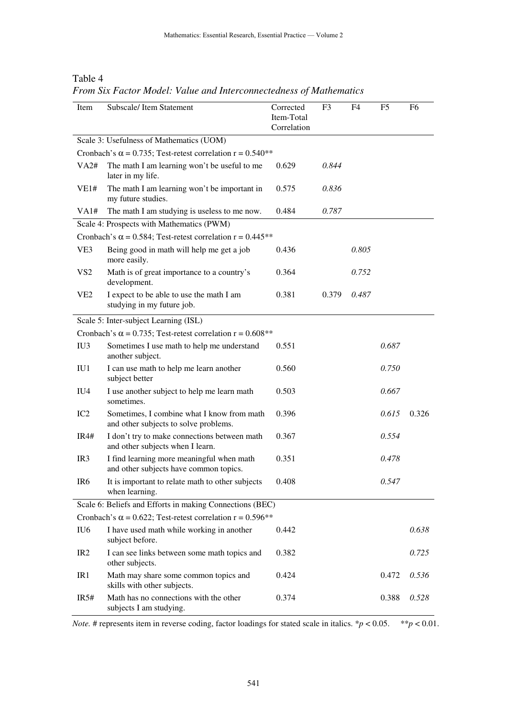# Table 4

*From Six Factor Model: Value and Interconnectedness of Mathematics* 

| Item                                                             | Subscale/Item Statement                                                             | Corrected<br>Item-Total<br>Correlation | F <sub>3</sub> | F <sub>4</sub> | F <sub>5</sub> | F <sub>6</sub> |
|------------------------------------------------------------------|-------------------------------------------------------------------------------------|----------------------------------------|----------------|----------------|----------------|----------------|
|                                                                  | Scale 3: Usefulness of Mathematics (UOM)                                            |                                        |                |                |                |                |
|                                                                  | Cronbach's $\alpha$ = 0.735; Test-retest correlation r = 0.540**                    |                                        |                |                |                |                |
| VA2#                                                             | The math I am learning won't be useful to me<br>later in my life.                   | 0.629                                  | 0.844          |                |                |                |
| VE1#                                                             | The math I am learning won't be important in<br>my future studies.                  | 0.575                                  | 0.836          |                |                |                |
| VA1#                                                             | The math I am studying is useless to me now.                                        | 0.484                                  | 0.787          |                |                |                |
|                                                                  | Scale 4: Prospects with Mathematics (PWM)                                           |                                        |                |                |                |                |
|                                                                  | Cronbach's $\alpha$ = 0.584; Test-retest correlation r = 0.445 <sup>**</sup>        |                                        |                |                |                |                |
| VE3                                                              | Being good in math will help me get a job<br>more easily.                           | 0.436                                  |                | 0.805          |                |                |
| VS <sub>2</sub>                                                  | Math is of great importance to a country's<br>development.                          | 0.364                                  |                | 0.752          |                |                |
| VE <sub>2</sub>                                                  | I expect to be able to use the math I am<br>studying in my future job.              | 0.381                                  | 0.379          | 0.487          |                |                |
|                                                                  | Scale 5: Inter-subject Learning (ISL)                                               |                                        |                |                |                |                |
|                                                                  | Cronbach's $\alpha$ = 0.735; Test-retest correlation r = 0.608**                    |                                        |                |                |                |                |
| IU <sub>3</sub>                                                  | Sometimes I use math to help me understand<br>another subject.                      | 0.551                                  |                |                | 0.687          |                |
| IU1                                                              | I can use math to help me learn another<br>subject better                           | 0.560                                  |                |                | 0.750          |                |
| IU <sub>4</sub>                                                  | I use another subject to help me learn math<br>sometimes.                           | 0.503                                  |                |                | 0.667          |                |
| IC <sub>2</sub>                                                  | Sometimes, I combine what I know from math<br>and other subjects to solve problems. | 0.396                                  |                |                | 0.615          | 0.326          |
| IR4#                                                             | I don't try to make connections between math<br>and other subjects when I learn.    | 0.367                                  |                |                | 0.554          |                |
| IR <sub>3</sub>                                                  | I find learning more meaningful when math<br>and other subjects have common topics. | 0.351                                  |                |                | 0.478          |                |
| IR6                                                              | It is important to relate math to other subjects<br>when learning.                  | 0.408                                  |                |                | 0.547          |                |
|                                                                  | Scale 6: Beliefs and Efforts in making Connections (BEC)                            |                                        |                |                |                |                |
| Cronbach's $\alpha$ = 0.622; Test-retest correlation r = 0.596** |                                                                                     |                                        |                |                |                |                |
| IU <sub>6</sub>                                                  | I have used math while working in another<br>subject before.                        | 0.442                                  |                |                |                | 0.638          |
| IR <sub>2</sub>                                                  | I can see links between some math topics and<br>other subjects.                     | 0.382                                  |                |                |                | 0.725          |
| IR1                                                              | Math may share some common topics and<br>skills with other subjects.                | 0.424                                  |                |                | 0.472          | 0.536          |
| IR5#                                                             | Math has no connections with the other<br>subjects I am studying.                   | 0.374                                  |                |                | 0.388          | 0.528          |

*Note.* # represents item in reverse coding, factor loadings for stated scale in italics. \* $p < 0.05$ . \*\* $p < 0.01$ .